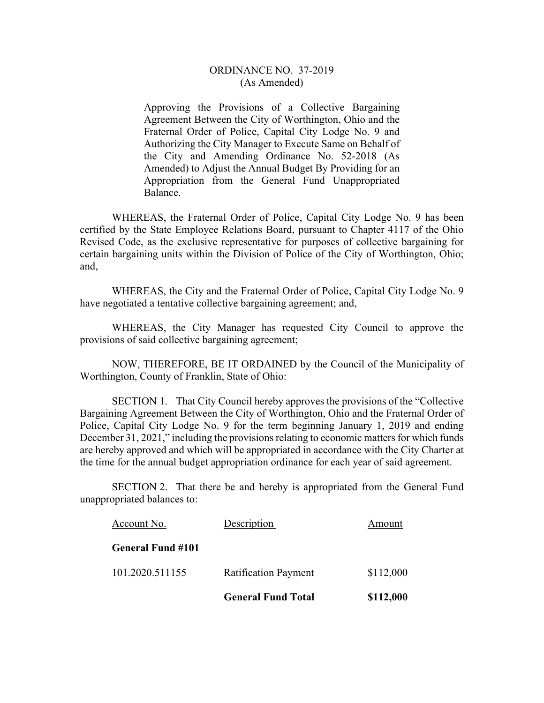## ORDINANCE NO. 37-2019 (As Amended)

Approving the Provisions of a Collective Bargaining Agreement Between the City of Worthington, Ohio and the Fraternal Order of Police, Capital City Lodge No. 9 and Authorizing the City Manager to Execute Same on Behalf of the City and Amending Ordinance No. 52-2018 (As Amended) to Adjust the Annual Budget By Providing for an Appropriation from the General Fund Unappropriated Balance.

 WHEREAS, the Fraternal Order of Police, Capital City Lodge No. 9 has been certified by the State Employee Relations Board, pursuant to Chapter 4117 of the Ohio Revised Code, as the exclusive representative for purposes of collective bargaining for certain bargaining units within the Division of Police of the City of Worthington, Ohio; and,

 WHEREAS, the City and the Fraternal Order of Police, Capital City Lodge No. 9 have negotiated a tentative collective bargaining agreement; and,

 WHEREAS, the City Manager has requested City Council to approve the provisions of said collective bargaining agreement;

 NOW, THEREFORE, BE IT ORDAINED by the Council of the Municipality of Worthington, County of Franklin, State of Ohio:

SECTION 1. That City Council hereby approves the provisions of the "Collective Bargaining Agreement Between the City of Worthington, Ohio and the Fraternal Order of Police, Capital City Lodge No. 9 for the term beginning January 1, 2019 and ending December 31, 2021," including the provisions relating to economic matters for which funds are hereby approved and which will be appropriated in accordance with the City Charter at the time for the annual budget appropriation ordinance for each year of said agreement.

SECTION 2. That there be and hereby is appropriated from the General Fund unappropriated balances to:

|                          | <b>General Fund Total</b>   | \$112,000 |
|--------------------------|-----------------------------|-----------|
| 101.2020.511155          | <b>Ratification Payment</b> | \$112,000 |
| <b>General Fund #101</b> |                             |           |
| Account No.              | Description                 | Amount    |